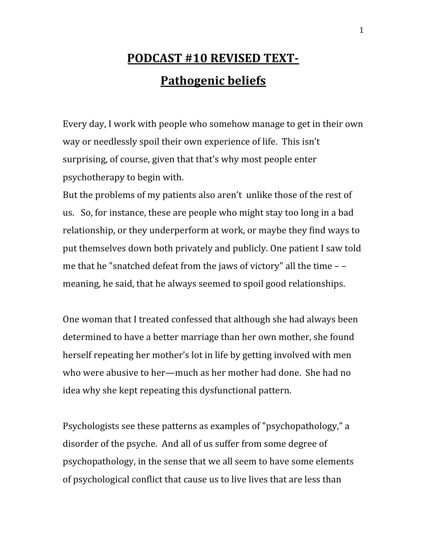## **PODCAST #10 REVISED TEXT-Pathogenic beliefs**

Every day, I work with people who somehow manage to get in their own way or needlessly spoil their own experience of life. This isn't surprising, of course, given that that's why most people enter psychotherapy to begin with.

But the problems of my patients also aren't unlike those of the rest of us. So, for instance, these are people who might stay too long in a bad relationship, or they underperform at work, or maybe they find ways to put themselves down both privately and publicly. One patient I saw told me that he "snatched defeat from the jaws of victory" all the time – – meaning, he said, that he always seemed to spoil good relationships.

One woman that I treated confessed that although she had always been determined to have a better marriage than her own mother, she found herself repeating her mother's lot in life by getting involved with men who were abusive to her—much as her mother had done. She had no idea why she kept repeating this dysfunctional pattern.

Psychologists see these patterns as examples of "psychopathology," a disorder of the psyche. And all of us suffer from some degree of psychopathology, in the sense that we all seem to have some elements of psychological conflict that cause us to live lives that are less than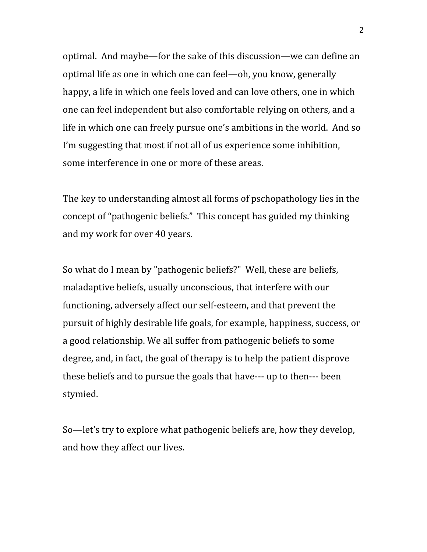optimal. And maybe—for the sake of this discussion—we can define an optimal life as one in which one can feel—oh, you know, generally happy, a life in which one feels loved and can love others, one in which one can feel independent but also comfortable relying on others, and a life in which one can freely pursue one's ambitions in the world. And so I'm suggesting that most if not all of us experience some inhibition, some interference in one or more of these areas.

The key to understanding almost all forms of pschopathology lies in the concept of "pathogenic beliefs." This concept has guided my thinking and my work for over 40 years.

So what do I mean by "pathogenic beliefs?" Well, these are beliefs, maladaptive beliefs, usually unconscious, that interfere with our functioning, adversely affect our self-esteem, and that prevent the pursuit of highly desirable life goals, for example, happiness, success, or a good relationship. We all suffer from pathogenic beliefs to some degree, and, in fact, the goal of therapy is to help the patient disprove these beliefs and to pursue the goals that have--- up to then--- been stymied.

So—let's try to explore what pathogenic beliefs are, how they develop, and how they affect our lives.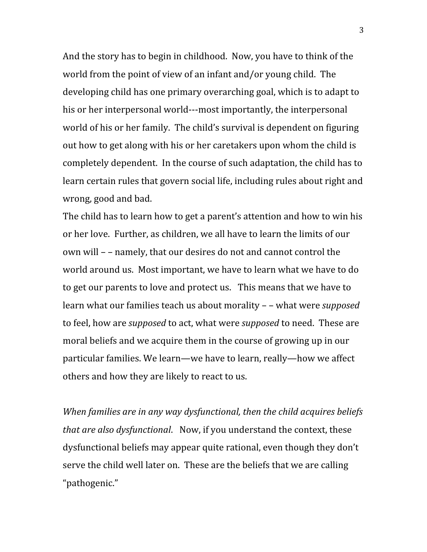And the story has to begin in childhood. Now, you have to think of the world from the point of view of an infant and/or young child. The developing child has one primary overarching goal, which is to adapt to his or her interpersonal world---most importantly, the interpersonal world of his or her family. The child's survival is dependent on figuring out how to get along with his or her caretakers upon whom the child is completely dependent. In the course of such adaptation, the child has to learn certain rules that govern social life, including rules about right and wrong, good and bad.

The child has to learn how to get a parent's attention and how to win his or her love. Further, as children, we all have to learn the limits of our own will – – namely, that our desires do not and cannot control the world around us. Most important, we have to learn what we have to do to get our parents to love and protect us. This means that we have to learn what our families teach us about morality – – what were *supposed* to feel, how are *supposed* to act, what were *supposed* to need. These are moral beliefs and we acquire them in the course of growing up in our particular families. We learn—we have to learn, really—how we affect others and how they are likely to react to us.

*When families are in any way dysfunctional, then the child acquires beliefs that are also dysfunctional*. Now, if you understand the context, these dysfunctional beliefs may appear quite rational, even though they don't serve the child well later on. These are the beliefs that we are calling "pathogenic."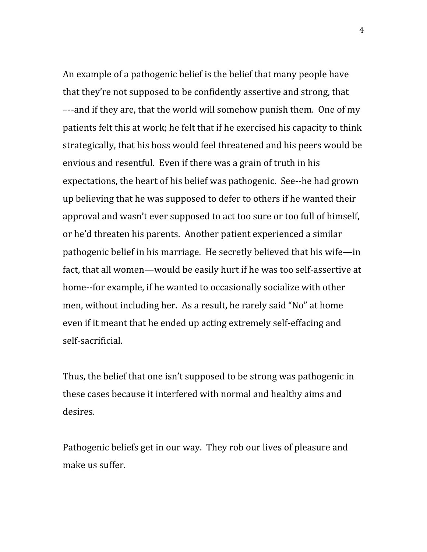An example of a pathogenic belief is the belief that many people have that they're not supposed to be confidently assertive and strong, that –--and if they are, that the world will somehow punish them. One of my patients felt this at work; he felt that if he exercised his capacity to think strategically, that his boss would feel threatened and his peers would be envious and resentful. Even if there was a grain of truth in his expectations, the heart of his belief was pathogenic. See--he had grown up believing that he was supposed to defer to others if he wanted their approval and wasn't ever supposed to act too sure or too full of himself, or he'd threaten his parents. Another patient experienced a similar pathogenic belief in his marriage. He secretly believed that his wife—in fact, that all women—would be easily hurt if he was too self-assertive at home--for example, if he wanted to occasionally socialize with other men, without including her. As a result, he rarely said "No" at home even if it meant that he ended up acting extremely self-effacing and self-sacrificial.

Thus, the belief that one isn't supposed to be strong was pathogenic in these cases because it interfered with normal and healthy aims and desires.

Pathogenic beliefs get in our way. They rob our lives of pleasure and make us suffer.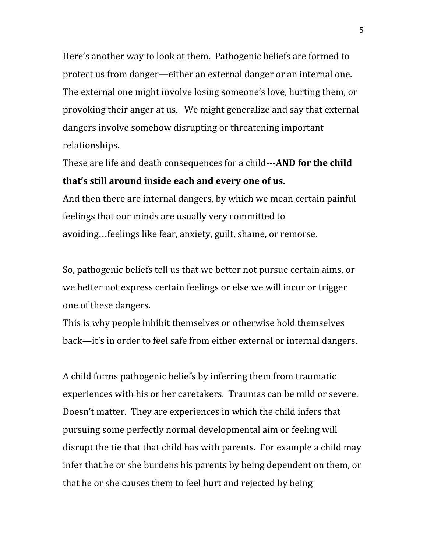Here's another way to look at them. Pathogenic beliefs are formed to protect us from danger—either an external danger or an internal one. The external one might involve losing someone's love, hurting them, or provoking their anger at us. We might generalize and say that external dangers involve somehow disrupting or threatening important relationships.

These are life and death consequences for a child---**AND for the child that's still around inside each and every one of us.**

And then there are internal dangers, by which we mean certain painful feelings that our minds are usually very committed to avoiding…feelings like fear, anxiety, guilt, shame, or remorse.

So, pathogenic beliefs tell us that we better not pursue certain aims, or we better not express certain feelings or else we will incur or trigger one of these dangers.

This is why people inhibit themselves or otherwise hold themselves back—it's in order to feel safe from either external or internal dangers.

A child forms pathogenic beliefs by inferring them from traumatic experiences with his or her caretakers. Traumas can be mild or severe. Doesn't matter. They are experiences in which the child infers that pursuing some perfectly normal developmental aim or feeling will disrupt the tie that that child has with parents. For example a child may infer that he or she burdens his parents by being dependent on them, or that he or she causes them to feel hurt and rejected by being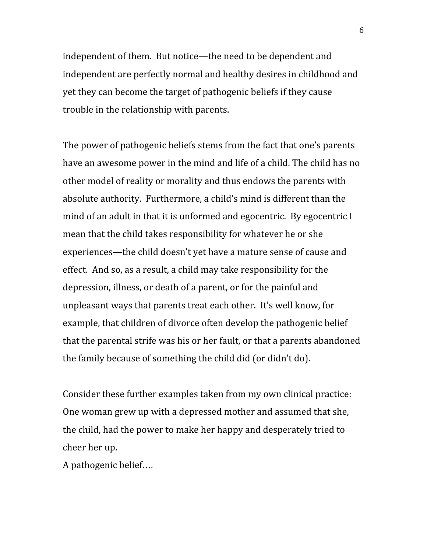independent of them. But notice—the need to be dependent and independent are perfectly normal and healthy desires in childhood and yet they can become the target of pathogenic beliefs if they cause trouble in the relationship with parents.

The power of pathogenic beliefs stems from the fact that one's parents have an awesome power in the mind and life of a child. The child has no other model of reality or morality and thus endows the parents with absolute authority. Furthermore, a child's mind is different than the mind of an adult in that it is unformed and egocentric. By egocentric I mean that the child takes responsibility for whatever he or she experiences—the child doesn't yet have a mature sense of cause and effect. And so, as a result, a child may take responsibility for the depression, illness, or death of a parent, or for the painful and unpleasant ways that parents treat each other. It's well know, for example, that children of divorce often develop the pathogenic belief that the parental strife was his or her fault, or that a parents abandoned the family because of something the child did (or didn't do).

Consider these further examples taken from my own clinical practice: One woman grew up with a depressed mother and assumed that she, the child, had the power to make her happy and desperately tried to cheer her up.

A pathogenic belief….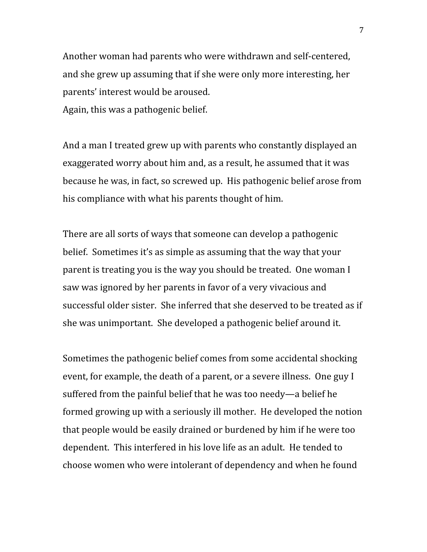Another woman had parents who were withdrawn and self-centered, and she grew up assuming that if she were only more interesting, her parents' interest would be aroused. Again, this was a pathogenic belief.

And a man I treated grew up with parents who constantly displayed an exaggerated worry about him and, as a result, he assumed that it was because he was, in fact, so screwed up. His pathogenic belief arose from his compliance with what his parents thought of him.

There are all sorts of ways that someone can develop a pathogenic belief. Sometimes it's as simple as assuming that the way that your parent is treating you is the way you should be treated. One woman I saw was ignored by her parents in favor of a very vivacious and successful older sister. She inferred that she deserved to be treated as if she was unimportant. She developed a pathogenic belief around it.

Sometimes the pathogenic belief comes from some accidental shocking event, for example, the death of a parent, or a severe illness. One guy I suffered from the painful belief that he was too needy—a belief he formed growing up with a seriously ill mother. He developed the notion that people would be easily drained or burdened by him if he were too dependent. This interfered in his love life as an adult. He tended to choose women who were intolerant of dependency and when he found